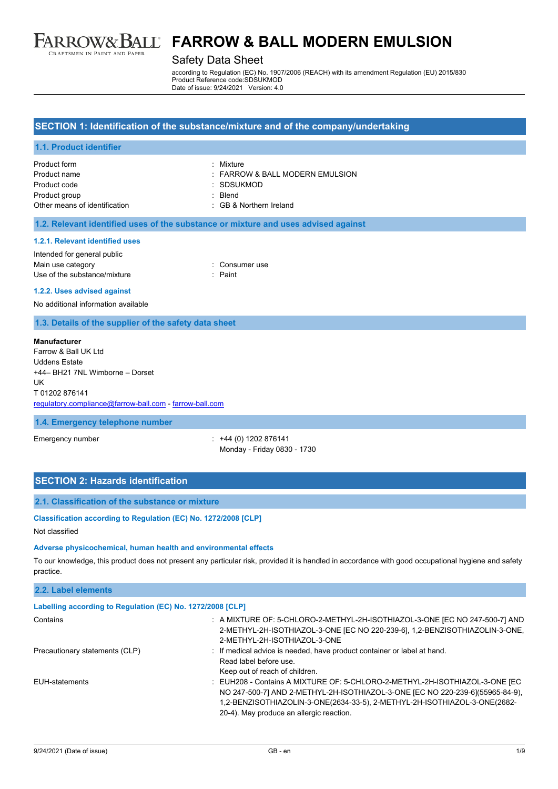

### Safety Data Sheet

according to Regulation (EC) No. 1907/2006 (REACH) with its amendment Regulation (EU) 2015/830 Product Reference code:SDSUKMOD Date of issue: 9/24/2021 Version: 4.0

#### **SECTION 1: Identification of the substance/mixture and of the company/undertaking**

#### **1.1. Product identifier**

| Product form                  | : Mixture                           |
|-------------------------------|-------------------------------------|
| Product name                  | $\pm$ FARROW & BALL MODERN EMULSION |
| Product code                  | : SDSUKMOD                          |
| Product group                 | · Blend                             |
| Other means of identification | : GB & Northern Ireland             |

#### **1.2. Relevant identified uses of the substance or mixture and uses advised against**

#### **1.2.1. Relevant identified uses**

| Intended for general public  |                |
|------------------------------|----------------|
| Main use category            | : Consumer use |
| Use of the substance/mixture | : Paint        |

#### **1.2.2. Uses advised against**

No additional information available

#### **1.3. Details of the supplier of the safety data sheet**

#### **Manufacturer**

Farrow & Ball UK Ltd Uddens Estate +44– BH21 7NL Wimborne – Dorset UK T 01202 876141 [regulatory.compliance@farrow-ball.com](mailto:regulatory.compliance@farrow-ball.com) - [farrow-ball.com](http://farrow-ball.com/)

#### **1.4. Emergency telephone number**

Emergency number : +44 (0) 1202 876141 Monday - Friday 0830 - 1730

### **SECTION 2: Hazards identification**

#### **2.1. Classification of the substance or mixture**

#### **Classification according to Regulation (EC) No. 1272/2008 [CLP]**

Not classified

#### **Adverse physicochemical, human health and environmental effects**

To our knowledge, this product does not present any particular risk, provided it is handled in accordance with good occupational hygiene and safety practice.

|  | 2.2. Label elements |
|--|---------------------|
|  |                     |

| Labelling according to Regulation (EC) No. 1272/2008 [CLP] |                                                                                                                                                                                                                                                                                       |
|------------------------------------------------------------|---------------------------------------------------------------------------------------------------------------------------------------------------------------------------------------------------------------------------------------------------------------------------------------|
| Contains                                                   | : A MIXTURE OF: 5-CHLORO-2-METHYL-2H-ISOTHIAZOL-3-ONE [EC NO 247-500-7] AND<br>2-METHYL-2H-ISOTHIAZOL-3-ONE [EC NO 220-239-6], 1,2-BENZISOTHIAZOLIN-3-ONE,<br>2-METHYL-2H-ISOTHIAZOL-3-ONE                                                                                            |
| Precautionary statements (CLP)                             | : If medical advice is needed, have product container or label at hand.<br>Read label before use.<br>Keep out of reach of children.                                                                                                                                                   |
| EUH-statements                                             | : EUH208 - Contains A MIXTURE OF: 5-CHLORO-2-METHYL-2H-ISOTHIAZOL-3-ONE [EC<br>NO 247-500-7] AND 2-METHYL-2H-ISOTHIAZOL-3-ONE [EC NO 220-239-6](55965-84-9),<br>1,2-BENZISOTHIAZOLIN-3-ONE(2634-33-5), 2-METHYL-2H-ISOTHIAZOL-3-ONE(2682-<br>20-4). May produce an allergic reaction. |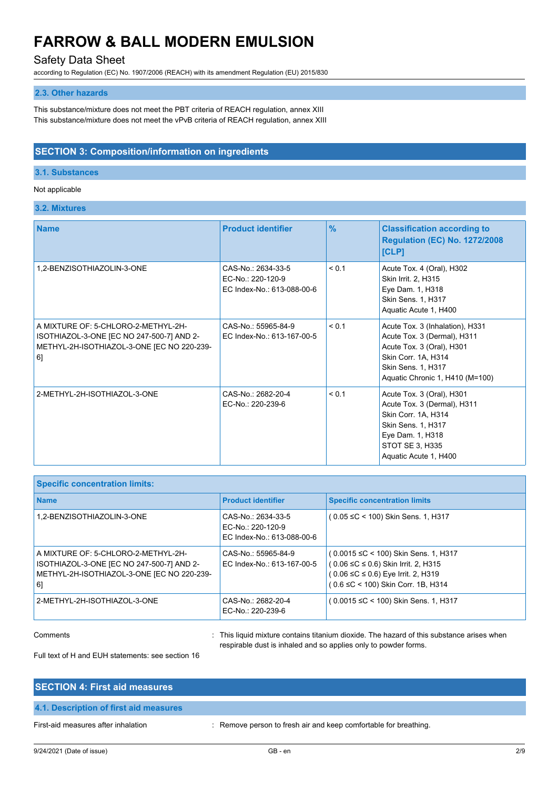### Safety Data Sheet

according to Regulation (EC) No. 1907/2006 (REACH) with its amendment Regulation (EU) 2015/830

#### **2.3. Other hazards**

This substance/mixture does not meet the PBT criteria of REACH regulation, annex XIII This substance/mixture does not meet the vPvB criteria of REACH regulation, annex XIII

### **SECTION 3: Composition/information on ingredients**

#### **3.1. Substances**

#### Not applicable

**3.2. Mixtures**

| <b>Name</b>                                                                                                                          | <b>Product identifier</b>                                             | $\frac{9}{6}$ | <b>Classification according to</b><br><b>Regulation (EC) No. 1272/2008</b><br>[CLP]                                                                                         |
|--------------------------------------------------------------------------------------------------------------------------------------|-----------------------------------------------------------------------|---------------|-----------------------------------------------------------------------------------------------------------------------------------------------------------------------------|
| 1,2-BENZISOTHIAZOLIN-3-ONE                                                                                                           | CAS-No.: 2634-33-5<br>EC-No.: 220-120-9<br>EC Index-No.: 613-088-00-6 | < 0.1         | Acute Tox. 4 (Oral), H302<br>Skin Irrit. 2, H315<br>Eye Dam. 1, H318<br>Skin Sens. 1, H317<br>Aquatic Acute 1, H400                                                         |
| A MIXTURE OF: 5-CHLORO-2-METHYL-2H-<br>ISOTHIAZOL-3-ONE [EC NO 247-500-7] AND 2-<br>METHYL-2H-ISOTHIAZOL-3-ONE [EC NO 220-239-<br>6] | CAS-No.: 55965-84-9<br>EC Index-No.: 613-167-00-5                     | < 0.1         | Acute Tox. 3 (Inhalation), H331<br>Acute Tox. 3 (Dermal), H311<br>Acute Tox. 3 (Oral), H301<br>Skin Corr. 1A, H314<br>Skin Sens. 1, H317<br>Aquatic Chronic 1, H410 (M=100) |
| 2-METHYL-2H-ISOTHIAZOL-3-ONE                                                                                                         | CAS-No.: 2682-20-4<br>EC-No.: 220-239-6                               | < 0.1         | Acute Tox. 3 (Oral), H301<br>Acute Tox. 3 (Dermal), H311<br>Skin Corr. 1A, H314<br>Skin Sens. 1, H317<br>Eye Dam. 1, H318<br>STOT SE 3, H335<br>Aquatic Acute 1, H400       |

| <b>Specific concentration limits:</b>                                                                                                |                                                                       |                                                                                                                                                                     |  |  |
|--------------------------------------------------------------------------------------------------------------------------------------|-----------------------------------------------------------------------|---------------------------------------------------------------------------------------------------------------------------------------------------------------------|--|--|
| <b>Name</b>                                                                                                                          | <b>Product identifier</b>                                             | <b>Specific concentration limits</b>                                                                                                                                |  |  |
| 1,2-BENZISOTHIAZOLIN-3-ONE                                                                                                           | CAS-No.: 2634-33-5<br>EC-No.: 220-120-9<br>EC Index-No.: 613-088-00-6 | $(0.05 \leq C < 100)$ Skin Sens. 1, H317                                                                                                                            |  |  |
| A MIXTURE OF: 5-CHLORO-2-METHYL-2H-<br>ISOTHIAZOL-3-ONE [EC NO 247-500-7] AND 2-<br>METHYL-2H-ISOTHIAZOL-3-ONE JEC NO 220-239-<br>61 | CAS-No.: 55965-84-9<br>EC Index-No.: 613-167-00-5                     | $(0.0015 ≤ C < 100)$ Skin Sens. 1, H317<br>$(0.06 \leq C \leq 0.6)$ Skin Irrit. 2, H315<br>(0.06 ≤C ≤ 0.6) Eye Irrit. 2, H319<br>(0.6 ≤C < 100) Skin Corr. 1B, H314 |  |  |
| 2-METHYL-2H-ISOTHIAZOL-3-ONE                                                                                                         | CAS-No.: 2682-20-4<br>EC-No.: 220-239-6                               | (0.0015 ≤C < 100) Skin Sens. 1, H317                                                                                                                                |  |  |

Comments **Example 2** This liquid mixture contains titanium dioxide. The hazard of this substance arises when respirable dust is inhaled and so applies only to powder forms.

Full text of H and EUH statements: see section 16

### **SECTION 4: First aid measures**

#### **4.1. Description of first aid measures**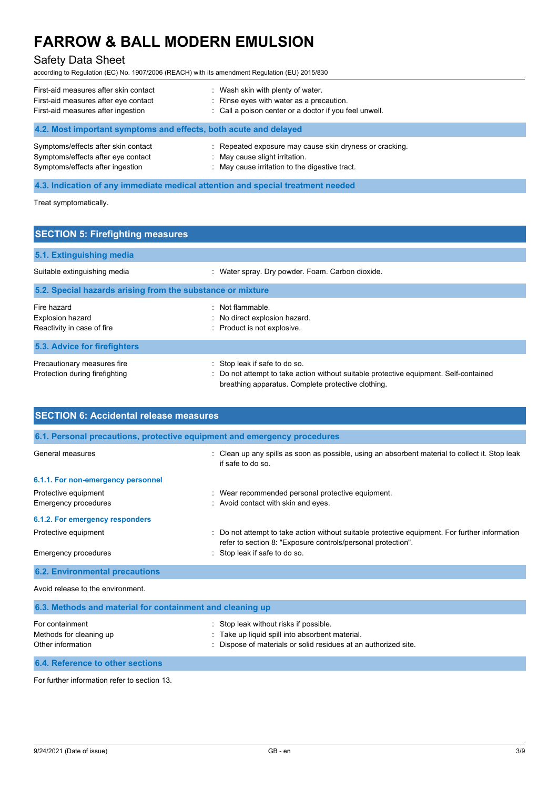# Safety Data Sheet

according to Regulation (EC) No. 1907/2006 (REACH) with its amendment Regulation (EU) 2015/830

| First-aid measures after skin contact                            | : Wash skin with plenty of water.                       |
|------------------------------------------------------------------|---------------------------------------------------------|
| First-aid measures after eye contact                             | : Rinse eyes with water as a precaution.                |
| First-aid measures after ingestion                               | : Call a poison center or a doctor if you feel unwell.  |
| 4.2. Most important symptoms and effects, both acute and delayed |                                                         |
| Symptoms/effects after skin contact                              | : Repeated exposure may cause skin dryness or cracking. |
| Symptoms/effects after eye contact                               | May cause slight irritation.                            |
| Symptoms/effects after ingestion                                 | : May cause irritation to the digestive tract.          |

### **4.3. Indication of any immediate medical attention and special treatment needed**

Treat symptomatically.

| <b>SECTION 5: Firefighting measures</b>                              |                                                                                                                                                                            |  |  |
|----------------------------------------------------------------------|----------------------------------------------------------------------------------------------------------------------------------------------------------------------------|--|--|
| 5.1. Extinguishing media                                             |                                                                                                                                                                            |  |  |
| Suitable extinguishing media                                         | : Water spray. Dry powder. Foam. Carbon dioxide.                                                                                                                           |  |  |
| 5.2. Special hazards arising from the substance or mixture           |                                                                                                                                                                            |  |  |
| Fire hazard<br><b>Explosion hazard</b><br>Reactivity in case of fire | : Not flammable.<br>: No direct explosion hazard.<br>Product is not explosive.                                                                                             |  |  |
| 5.3. Advice for firefighters                                         |                                                                                                                                                                            |  |  |
| Precautionary measures fire<br>Protection during firefighting        | : Stop leak if safe to do so.<br>Do not attempt to take action without suitable protective equipment. Self-contained<br>breathing apparatus. Complete protective clothing. |  |  |

| <b>SECTION 6: Accidental release measures</b>                            |                                                                                                                                                                |  |  |  |
|--------------------------------------------------------------------------|----------------------------------------------------------------------------------------------------------------------------------------------------------------|--|--|--|
| 6.1. Personal precautions, protective equipment and emergency procedures |                                                                                                                                                                |  |  |  |
| General measures                                                         | : Clean up any spills as soon as possible, using an absorbent material to collect it. Stop leak<br>if safe to do so.                                           |  |  |  |
| 6.1.1. For non-emergency personnel                                       |                                                                                                                                                                |  |  |  |
| Protective equipment<br>Emergency procedures                             | : Wear recommended personal protective equipment.<br>: Avoid contact with skin and eyes.                                                                       |  |  |  |
| 6.1.2. For emergency responders                                          |                                                                                                                                                                |  |  |  |
| Protective equipment                                                     | : Do not attempt to take action without suitable protective equipment. For further information<br>refer to section 8: "Exposure controls/personal protection". |  |  |  |
| <b>Emergency procedures</b>                                              | Stop leak if safe to do so.                                                                                                                                    |  |  |  |
| <b>6.2. Environmental precautions</b>                                    |                                                                                                                                                                |  |  |  |
| Avoid release to the environment.                                        |                                                                                                                                                                |  |  |  |
|                                                                          |                                                                                                                                                                |  |  |  |

| 6.3. Methods and material for containment and cleaning up       |                                                                                                                                                              |  |  |
|-----------------------------------------------------------------|--------------------------------------------------------------------------------------------------------------------------------------------------------------|--|--|
| For containment<br>Methods for cleaning up<br>Other information | : Stop leak without risks if possible.<br>: Take up liquid spill into absorbent material.<br>: Dispose of materials or solid residues at an authorized site. |  |  |
|                                                                 |                                                                                                                                                              |  |  |

**6.4. Reference to other sections**

For further information refer to section 13.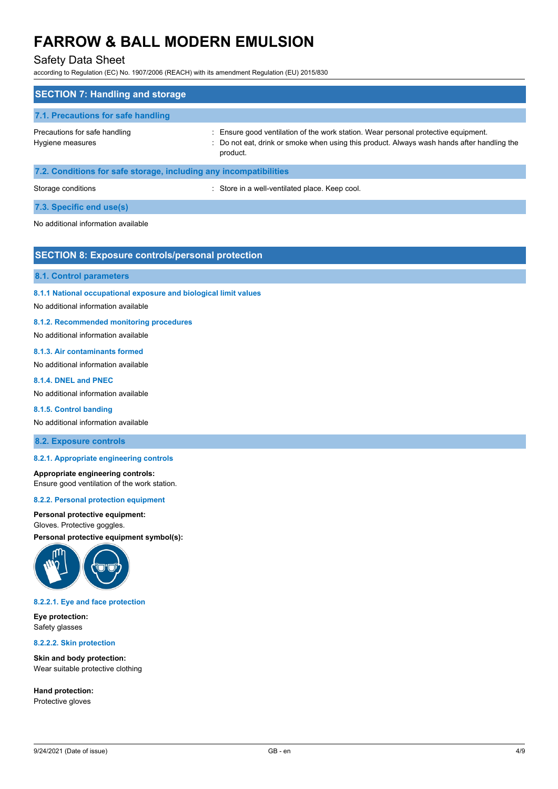### Safety Data Sheet

according to Regulation (EC) No. 1907/2006 (REACH) with its amendment Regulation (EU) 2015/830

| <b>SECTION 7: Handling and storage</b>                            |                                                                                                                                                                                              |
|-------------------------------------------------------------------|----------------------------------------------------------------------------------------------------------------------------------------------------------------------------------------------|
| 7.1. Precautions for safe handling                                |                                                                                                                                                                                              |
| Precautions for safe handling<br>Hygiene measures                 | : Ensure good ventilation of the work station. Wear personal protective equipment.<br>: Do not eat, drink or smoke when using this product. Always wash hands after handling the<br>product. |
| 7.2. Conditions for safe storage, including any incompatibilities |                                                                                                                                                                                              |
| Storage conditions                                                | : Store in a well-ventilated place. Keep cool.                                                                                                                                               |

**7.3. Specific end use(s)**

No additional information available

#### **SECTION 8: Exposure controls/personal protection**

#### **8.1. Control parameters**

**8.1.1 National occupational exposure and biological limit values**

No additional information available

#### **8.1.2. Recommended monitoring procedures**

No additional information available

#### **8.1.3. Air contaminants formed**

No additional information available

#### **8.1.4. DNEL and PNEC**

No additional information available

#### **8.1.5. Control banding**

No additional information available

#### **8.2. Exposure controls**

#### **8.2.1. Appropriate engineering controls**

**Appropriate engineering controls:** Ensure good ventilation of the work station.

#### **8.2.2. Personal protection equipment**

#### **Personal protective equipment:**

#### Gloves. Protective goggles.

**Personal protective equipment symbol(s):**



#### **8.2.2.1. Eye and face protection**

**Eye protection:** Safety glasses

**8.2.2.2. Skin protection**

**Skin and body protection:** Wear suitable protective clothing

**Hand protection:** Protective gloves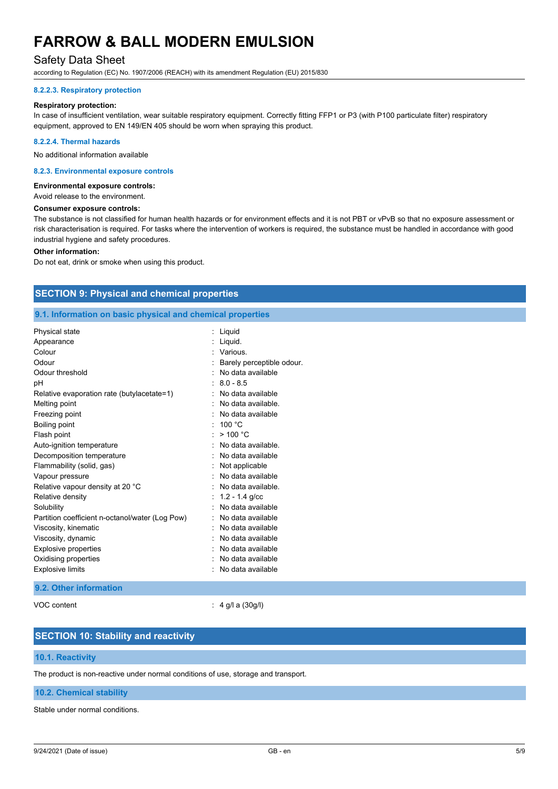### Safety Data Sheet

according to Regulation (EC) No. 1907/2006 (REACH) with its amendment Regulation (EU) 2015/830

#### **8.2.2.3. Respiratory protection**

#### **Respiratory protection:**

In case of insufficient ventilation, wear suitable respiratory equipment. Correctly fitting FFP1 or P3 (with P100 particulate filter) respiratory equipment, approved to EN 149/EN 405 should be worn when spraying this product.

#### **8.2.2.4. Thermal hazards**

No additional information available

#### **8.2.3. Environmental exposure controls**

#### **Environmental exposure controls:**

Avoid release to the environment.

#### **Consumer exposure controls:**

The substance is not classified for human health hazards or for environment effects and it is not PBT or vPvB so that no exposure assessment or risk characterisation is required. For tasks where the intervention of workers is required, the substance must be handled in accordance with good industrial hygiene and safety procedures.

#### **Other information:**

Do not eat, drink or smoke when using this product.

#### **SECTION 9: Physical and chemical properties**

#### **9.1. Information on basic physical and chemical properties**

| Physical state                                  | Liquid                    |
|-------------------------------------------------|---------------------------|
| Appearance                                      | Liquid.                   |
| Colour                                          | Various                   |
| Odour                                           | Barely perceptible odour. |
| Odour threshold                                 | No data available         |
| рH                                              | $8.0 - 8.5$               |
| Relative evaporation rate (butylacetate=1)      | No data available         |
| Melting point                                   | No data available.        |
| Freezing point                                  | No data available         |
| Boiling point                                   | : 100 $^{\circ}$ C        |
| Flash point                                     | >100 °C                   |
| Auto-ignition temperature                       | No data available.        |
| Decomposition temperature                       | No data available         |
| Flammability (solid, gas)                       | : Not applicable          |
| Vapour pressure                                 | No data available         |
| Relative vapour density at 20 °C                | No data available.        |
| Relative density                                | 1.2 - 1.4 $q$ / $cc$      |
| Solubility                                      | No data available         |
| Partition coefficient n-octanol/water (Log Pow) | No data available         |
| Viscosity, kinematic                            | No data available         |
| Viscosity, dynamic                              | No data available         |
| <b>Explosive properties</b>                     | No data available         |
| Oxidising properties                            | No data available         |
| <b>Explosive limits</b>                         | No data available         |

#### **9.2. Other information**

VOC content : 4 g/l a (30g/l)

### **SECTION 10: Stability and reactivity**

#### **10.1. Reactivity**

The product is non-reactive under normal conditions of use, storage and transport.

#### **10.2. Chemical stability**

Stable under normal conditions.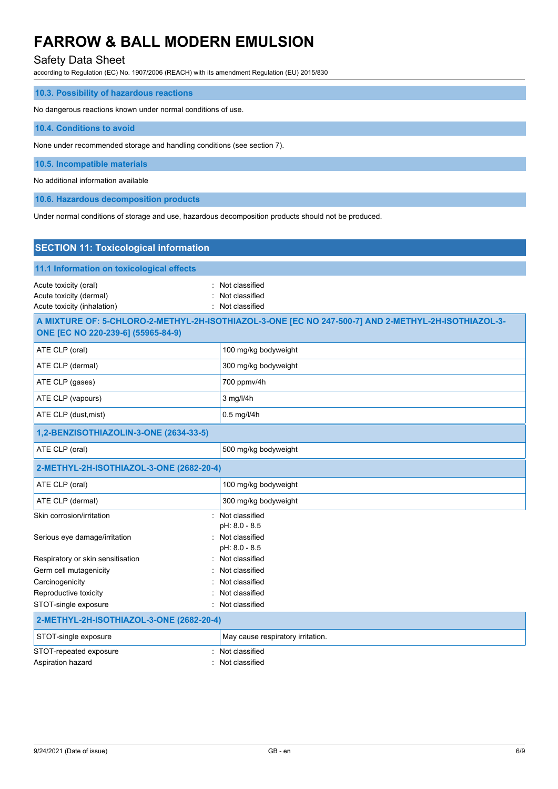# Safety Data Sheet

according to Regulation (EC) No. 1907/2006 (REACH) with its amendment Regulation (EU) 2015/830

| 10.3. Possibility of hazardous reactions                                                             |  |
|------------------------------------------------------------------------------------------------------|--|
| No dangerous reactions known under normal conditions of use.                                         |  |
| 10.4. Conditions to avoid                                                                            |  |
| None under recommended storage and handling conditions (see section 7).                              |  |
| 10.5. Incompatible materials                                                                         |  |
| No additional information available                                                                  |  |
| 10.6. Hazardous decomposition products                                                               |  |
| Under normal conditions of storage and use, hazardous decomposition products should not be produced. |  |
|                                                                                                      |  |
| <b>SECTION 11: Toxicological information</b>                                                         |  |

| 11.1 Information on toxicological effects                                       |                                                                                                     |
|---------------------------------------------------------------------------------|-----------------------------------------------------------------------------------------------------|
| Acute toxicity (oral)<br>Acute toxicity (dermal)<br>Acute toxicity (inhalation) | Not classified<br>Not classified<br>: Not classified                                                |
| ONE [EC NO 220-239-6] (55965-84-9)                                              | A MIXTURE OF: 5-CHLORO-2-METHYL-2H-ISOTHIAZOL-3-ONE [EC NO 247-500-7] AND 2-METHYL-2H-ISOTHIAZOL-3- |
| ATE CLP (oral)                                                                  | 100 mg/kg bodyweight                                                                                |
| ATE CLP (dermal)                                                                | 300 mg/kg bodyweight                                                                                |
| ATE CLP (gases)                                                                 | 700 ppmv/4h                                                                                         |
| ATE CLP (vapours)                                                               | 3 mg/l/4h                                                                                           |
| ATE CLP (dust, mist)                                                            | 0.5 mg/l/4h                                                                                         |
| 1,2-BENZISOTHIAZOLIN-3-ONE (2634-33-5)                                          |                                                                                                     |
| ATE CLP (oral)                                                                  | 500 mg/kg bodyweight                                                                                |
| 2-METHYL-2H-ISOTHIAZOL-3-ONE (2682-20-4)                                        |                                                                                                     |
| ATE CLP (oral)                                                                  | 100 mg/kg bodyweight                                                                                |
| ATE CLP (dermal)                                                                | 300 mg/kg bodyweight                                                                                |
| Skin corrosion/irritation                                                       | : Not classified<br>pH: 8.0 - 8.5                                                                   |
| Serious eye damage/irritation                                                   | : Not classified<br>pH: 8.0 - 8.5                                                                   |
| Respiratory or skin sensitisation                                               | Not classified                                                                                      |
| Germ cell mutagenicity                                                          | Not classified                                                                                      |
| Carcinogenicity                                                                 | Not classified                                                                                      |
| Reproductive toxicity                                                           | Not classified                                                                                      |
| STOT-single exposure                                                            | Not classified                                                                                      |
| 2-METHYL-2H-ISOTHIAZOL-3-ONE (2682-20-4)                                        |                                                                                                     |
| STOT-single exposure                                                            | May cause respiratory irritation.                                                                   |
| STOT-repeated exposure                                                          | : Not classified                                                                                    |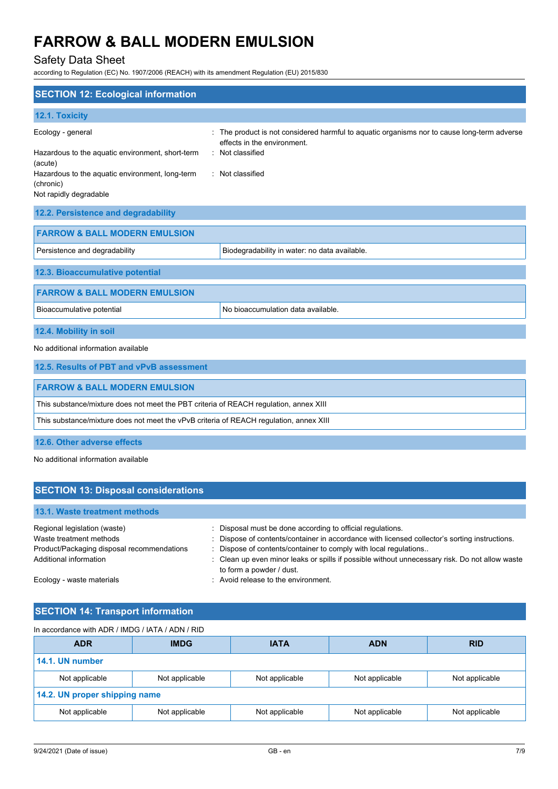### Safety Data Sheet

according to Regulation (EC) No. 1907/2006 (REACH) with its amendment Regulation (EU) 2015/830

| <b>SECTION 12: Ecological information</b>                                                         |                                                                                                                                              |
|---------------------------------------------------------------------------------------------------|----------------------------------------------------------------------------------------------------------------------------------------------|
| 12.1. Toxicity                                                                                    |                                                                                                                                              |
| Ecology - general<br>Hazardous to the aquatic environment, short-term                             | The product is not considered harmful to aquatic organisms nor to cause long-term adverse<br>effects in the environment.<br>: Not classified |
| (acute)<br>Hazardous to the aquatic environment, long-term<br>(chronic)<br>Not rapidly degradable | : Not classified                                                                                                                             |
| 12.2. Persistence and degradability                                                               |                                                                                                                                              |
| <b>FARROW &amp; BALL MODERN EMULSION</b>                                                          |                                                                                                                                              |
| Persistence and degradability                                                                     | Biodegradability in water: no data available.                                                                                                |
| 12.3. Bioaccumulative potential                                                                   |                                                                                                                                              |
| <b>FARROW &amp; BALL MODERN EMULSION</b>                                                          |                                                                                                                                              |
| Bioaccumulative potential                                                                         | No bioaccumulation data available.                                                                                                           |
| 12.4. Mobility in soil                                                                            |                                                                                                                                              |
| No additional information available                                                               |                                                                                                                                              |
| 12.5. Results of PBT and vPvB assessment                                                          |                                                                                                                                              |
| <b>FARROW &amp; BALL MODERN EMULSION</b>                                                          |                                                                                                                                              |
| This substance/mixture does not meet the PBT criteria of REACH regulation, annex XIII             |                                                                                                                                              |
| This substance/mixture does not meet the vPvB criteria of REACH regulation, annex XIII            |                                                                                                                                              |
| 12.6. Other adverse effects                                                                       |                                                                                                                                              |
| No additional information available                                                               |                                                                                                                                              |

| <b>SECTION 13: Disposal considerations</b> |                                                                                                                            |
|--------------------------------------------|----------------------------------------------------------------------------------------------------------------------------|
| 13.1. Waste treatment methods              |                                                                                                                            |
| Regional legislation (waste)               | Disposal must be done according to official regulations.                                                                   |
| Waste treatment methods                    | : Dispose of contents/container in accordance with licensed collector's sorting instructions.                              |
| Product/Packaging disposal recommendations | Dispose of contents/container to comply with local regulations                                                             |
| Additional information                     | : Clean up even minor leaks or spills if possible without unnecessary risk. Do not allow waste<br>to form a powder / dust. |
| Ecology - waste materials                  | : Avoid release to the environment.                                                                                        |

# **SECTION 14: Transport information**

| In accordance with ADR / IMDG / IATA / ADN / RID |                |                |                |                |
|--------------------------------------------------|----------------|----------------|----------------|----------------|
| <b>ADR</b>                                       | <b>IMDG</b>    | <b>IATA</b>    | <b>ADN</b>     | <b>RID</b>     |
| 14.1. UN number                                  |                |                |                |                |
| Not applicable                                   | Not applicable | Not applicable | Not applicable | Not applicable |
| 14.2. UN proper shipping name                    |                |                |                |                |
| Not applicable                                   | Not applicable | Not applicable | Not applicable | Not applicable |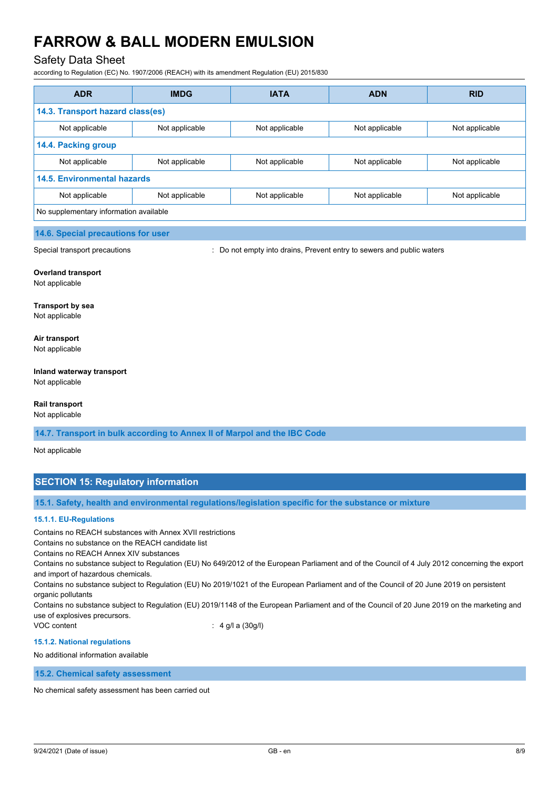### Safety Data Sheet

according to Regulation (EC) No. 1907/2006 (REACH) with its amendment Regulation (EU) 2015/830

| <b>ADR</b>                             | <b>IMDG</b>    | <b>IATA</b>    | <b>ADN</b>     | <b>RID</b>     |
|----------------------------------------|----------------|----------------|----------------|----------------|
| 14.3. Transport hazard class(es)       |                |                |                |                |
| Not applicable                         | Not applicable | Not applicable | Not applicable | Not applicable |
| 14.4. Packing group                    |                |                |                |                |
| Not applicable                         | Not applicable | Not applicable | Not applicable | Not applicable |
| <b>14.5. Environmental hazards</b>     |                |                |                |                |
| Not applicable                         | Not applicable | Not applicable | Not applicable | Not applicable |
| No supplementary information available |                |                |                |                |

#### **14.6. Special precautions for user**

Special transport precautions **interest and provident** : Do not empty into drains, Prevent entry to sewers and public waters

#### **Overland transport**

Not applicable

**Transport by sea** Not applicable

# **Air transport**

Not applicable

# **Inland waterway transport**

Not applicable

#### **Rail transport**

Not applicable

**14.7. Transport in bulk according to Annex II of Marpol and the IBC Code**

Not applicable

### **SECTION 15: Regulatory information**

**15.1. Safety, health and environmental regulations/legislation specific for the substance or mixture**

#### **15.1.1. EU-Regulations**

Contains no REACH substances with Annex XVII restrictions

Contains no substance on the REACH candidate list

Contains no REACH Annex XIV substances

Contains no substance subject to Regulation (EU) No 649/2012 of the European Parliament and of the Council of 4 July 2012 concerning the export and import of hazardous chemicals.

Contains no substance subject to Regulation (EU) No 2019/1021 of the European Parliament and of the Council of 20 June 2019 on persistent organic pollutants

Contains no substance subject to Regulation (EU) 2019/1148 of the European Parliament and of the Council of 20 June 2019 on the marketing and use of explosives precursors.

VOC content : 4 g/l a (30g/l)

#### **15.1.2. National regulations**

No additional information available

**15.2. Chemical safety assessment**

No chemical safety assessment has been carried out